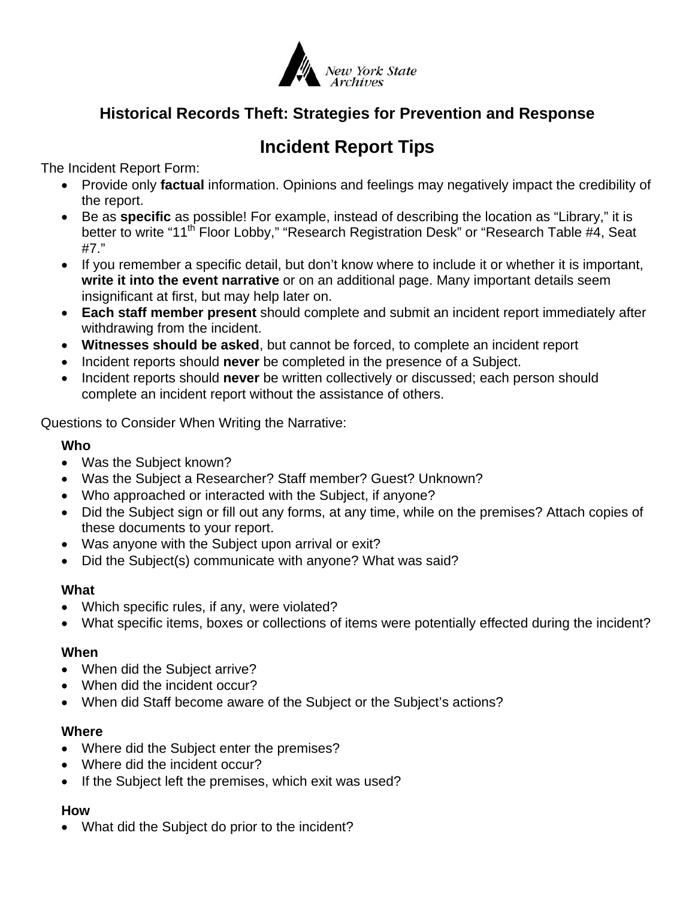

# **Historical Records Theft: Strategies for Prevention and Response**

# **Incident Report Tips**

The Incident Report Form:

- Provide only **factual** information. Opinions and feelings may negatively impact the credibility of the report.
- Be as **specific** as possible! For example, instead of describing the location as "Library," it is better to write "11<sup>th</sup> Floor Lobby," "Research Registration Desk" or "Research Table #4, Seat #7."
- If you remember a specific detail, but don't know where to include it or whether it is important, **write it into the event narrative** or on an additional page. Many important details seem insignificant at first, but may help later on.
- **Each staff member present** should complete and submit an incident report immediately after withdrawing from the incident.
- **Witnesses should be asked**, but cannot be forced, to complete an incident report
- **Incident reports should never** be completed in the presence of a Subject.
- Incident reports should **never** be written collectively or discussed; each person should complete an incident report without the assistance of others.

Questions to Consider When Writing the Narrative:

## **Who**

- Was the Subject known?
- Was the Subject a Researcher? Staff member? Guest? Unknown?
- Who approached or interacted with the Subject, if anyone?
- Did the Subject sign or fill out any forms, at any time, while on the premises? Attach copies of these documents to your report.
- Was anyone with the Subject upon arrival or exit?
- Did the Subject(s) communicate with anyone? What was said?

# **What**

- Which specific rules, if any, were violated?
- What specific items, boxes or collections of items were potentially effected during the incident?

## **When**

- When did the Subject arrive?
- When did the incident occur?
- When did Staff become aware of the Subject or the Subject's actions?

## **Where**

- Where did the Subject enter the premises?
- Where did the incident occur?
- If the Subject left the premises, which exit was used?

# **How**

• What did the Subject do prior to the incident?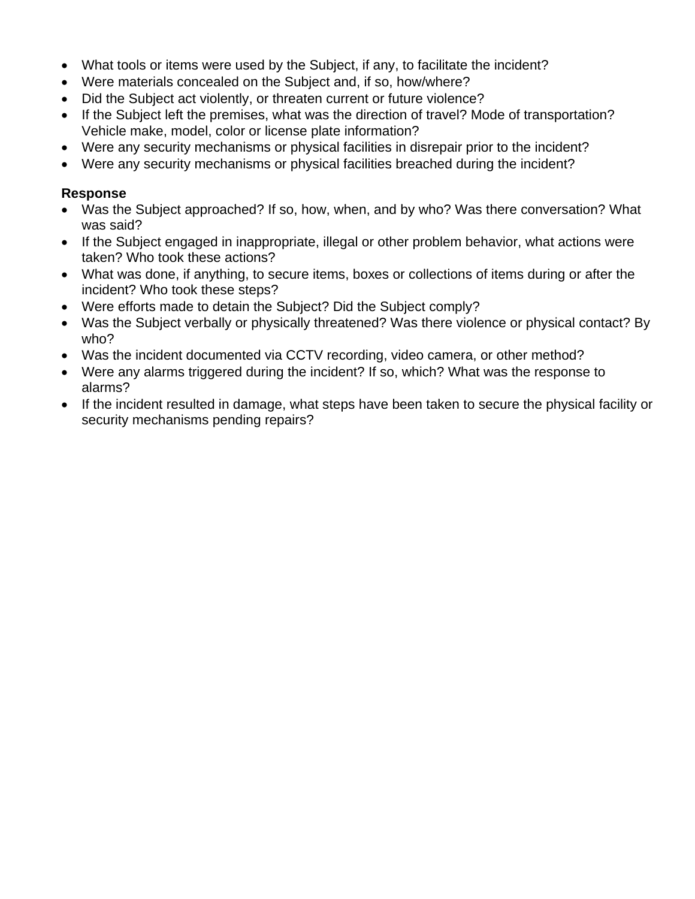- What tools or items were used by the Subject, if any, to facilitate the incident?
- Were materials concealed on the Subject and, if so, how/where?
- Did the Subject act violently, or threaten current or future violence?
- If the Subject left the premises, what was the direction of travel? Mode of transportation? Vehicle make, model, color or license plate information?
- Were any security mechanisms or physical facilities in disrepair prior to the incident?
- Were any security mechanisms or physical facilities breached during the incident?

#### **Response**

- Was the Subject approached? If so, how, when, and by who? Was there conversation? What was said?
- If the Subject engaged in inappropriate, illegal or other problem behavior, what actions were taken? Who took these actions?
- What was done, if anything, to secure items, boxes or collections of items during or after the incident? Who took these steps?
- Were efforts made to detain the Subject? Did the Subject comply?
- Was the Subject verbally or physically threatened? Was there violence or physical contact? By who?
- Was the incident documented via CCTV recording, video camera, or other method?
- Were any alarms triggered during the incident? If so, which? What was the response to alarms?
- If the incident resulted in damage, what steps have been taken to secure the physical facility or security mechanisms pending repairs?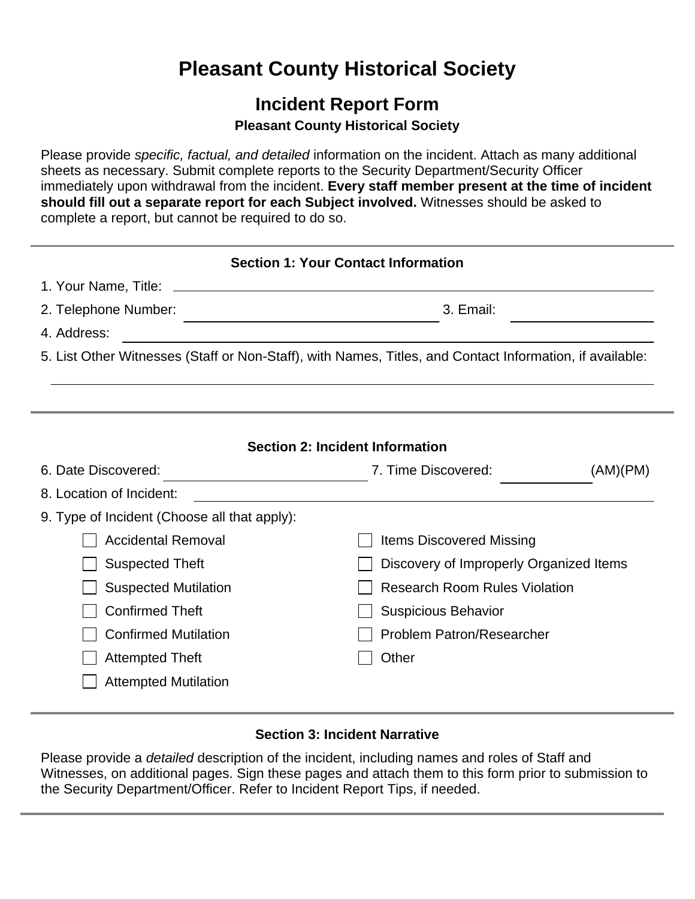# **Pleasant County Historical Society**

# **Incident Report Form**

# **Pleasant County Historical Society**

Please provide *specific, factual, and detailed* information on the incident. Attach as many additional sheets as necessary. Submit complete reports to the Security Department/Security Officer immediately upon withdrawal from the incident. **Every staff member present at the time of incident should fill out a separate report for each Subject involved.** Witnesses should be asked to complete a report, but cannot be required to do so.

| <b>Section 1: Your Contact Information</b>                                                               |                                                                          |          |  |  |
|----------------------------------------------------------------------------------------------------------|--------------------------------------------------------------------------|----------|--|--|
|                                                                                                          |                                                                          |          |  |  |
| 2. Telephone Number:                                                                                     | 3. Email:<br>the control of the control of the control of the control of |          |  |  |
| 4. Address:                                                                                              |                                                                          |          |  |  |
| 5. List Other Witnesses (Staff or Non-Staff), with Names, Titles, and Contact Information, if available: |                                                                          |          |  |  |
|                                                                                                          |                                                                          |          |  |  |
|                                                                                                          |                                                                          |          |  |  |
| <b>Section 2: Incident Information</b>                                                                   |                                                                          |          |  |  |
| 6. Date Discovered:                                                                                      | 7. Time Discovered:                                                      | (AM)(PM) |  |  |
| 8. Location of Incident:                                                                                 |                                                                          |          |  |  |
| 9. Type of Incident (Choose all that apply):                                                             |                                                                          |          |  |  |
| <b>Accidental Removal</b>                                                                                | <b>Items Discovered Missing</b>                                          |          |  |  |
| <b>Suspected Theft</b>                                                                                   | Discovery of Improperly Organized Items                                  |          |  |  |
| <b>Suspected Mutilation</b>                                                                              | <b>Research Room Rules Violation</b>                                     |          |  |  |
| <b>Confirmed Theft</b>                                                                                   | <b>Suspicious Behavior</b>                                               |          |  |  |
| <b>Confirmed Mutilation</b>                                                                              | <b>Problem Patron/Researcher</b>                                         |          |  |  |
| Attempted Theft                                                                                          | Other                                                                    |          |  |  |
| <b>Attempted Mutilation</b>                                                                              |                                                                          |          |  |  |

## **Section 3: Incident Narrative**

Please provide a *detailed* description of the incident, including names and roles of Staff and Witnesses, on additional pages. Sign these pages and attach them to this form prior to submission to the Security Department/Officer. Refer to Incident Report Tips, if needed.